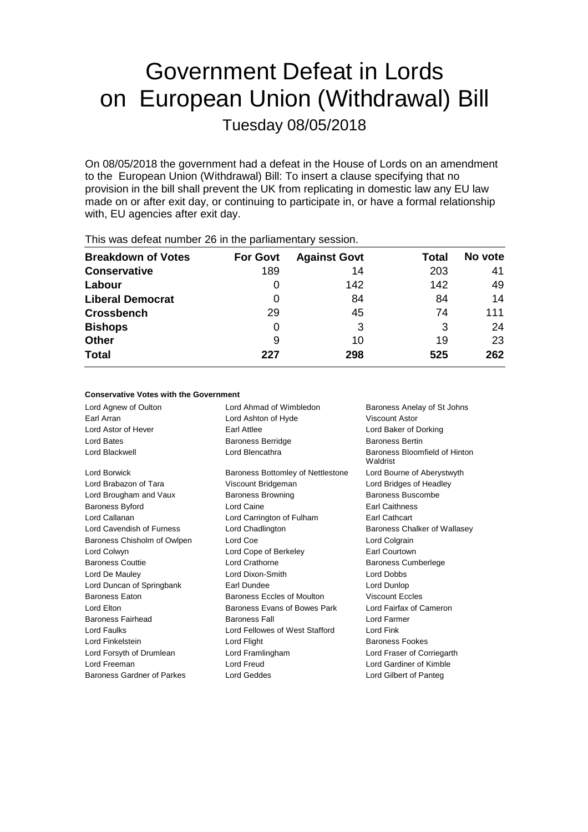# Government Defeat in Lords on European Union (Withdrawal) Bill Tuesday 08/05/2018

On 08/05/2018 the government had a defeat in the House of Lords on an amendment to the European Union (Withdrawal) Bill: To insert a clause specifying that no provision in the bill shall prevent the UK from replicating in domestic law any EU law made on or after exit day, or continuing to participate in, or have a formal relationship with, EU agencies after exit day.

| <b>Breakdown of Votes</b> | <b>For Govt</b> | <b>Against Govt</b> | Total | No vote |  |  |
|---------------------------|-----------------|---------------------|-------|---------|--|--|
| <b>Conservative</b>       | 189             | 14                  | 203   | 41      |  |  |
| Labour                    |                 | 142                 | 142   | 49      |  |  |
| <b>Liberal Democrat</b>   | 0               | 84                  | 84    | 14      |  |  |
| <b>Crossbench</b>         | 29              | 45                  | 74    | 111     |  |  |
| <b>Bishops</b>            | 0               | 3                   | 3     | 24      |  |  |
| <b>Other</b>              | 9               | 10                  | 19    | 23      |  |  |
| <b>Total</b>              | 227             | 298                 | 525   | 262     |  |  |
|                           |                 |                     |       |         |  |  |

This was defeat number 26 in the parliamentary session.

### **Conservative Votes with the Government**

| Lord Agnew of Oulton        | Lord Ahmad of Wimbledon           | Baroness Anelay of St Johns               |
|-----------------------------|-----------------------------------|-------------------------------------------|
| Earl Arran                  | Lord Ashton of Hyde               | Viscount Astor                            |
| Lord Astor of Hever         | Earl Attlee                       | Lord Baker of Dorking                     |
| Lord Bates                  | <b>Baroness Berridge</b>          | <b>Baroness Bertin</b>                    |
| Lord Blackwell              | Lord Blencathra                   | Baroness Bloomfield of Hinton<br>Waldrist |
| Lord Borwick                | Baroness Bottomley of Nettlestone | Lord Bourne of Aberystwyth                |
| Lord Brabazon of Tara       | Viscount Bridgeman                | Lord Bridges of Headley                   |
| Lord Brougham and Vaux      | <b>Baroness Browning</b>          | Baroness Buscombe                         |
| <b>Baroness Byford</b>      | Lord Caine                        | <b>Earl Caithness</b>                     |
| Lord Callanan               | Lord Carrington of Fulham         | Earl Cathcart                             |
| Lord Cavendish of Furness   | Lord Chadlington                  | Baroness Chalker of Wallasey              |
| Baroness Chisholm of Owlpen | Lord Coe                          | Lord Colgrain                             |
| Lord Colwyn                 | Lord Cope of Berkeley             | Earl Courtown                             |
| <b>Baroness Couttie</b>     | Lord Crathorne                    | <b>Baroness Cumberlege</b>                |
| Lord De Mauley              | Lord Dixon-Smith                  | <b>Lord Dobbs</b>                         |
| Lord Duncan of Springbank   | Earl Dundee                       | Lord Dunlop                               |
| <b>Baroness Eaton</b>       | Baroness Eccles of Moulton        | <b>Viscount Eccles</b>                    |
| Lord Elton                  | Baroness Evans of Bowes Park      | Lord Fairfax of Cameron                   |
| <b>Baroness Fairhead</b>    | <b>Baroness Fall</b>              | Lord Farmer                               |
| <b>Lord Faulks</b>          | Lord Fellowes of West Stafford    | Lord Fink                                 |
| Lord Finkelstein            | Lord Flight                       | <b>Baroness Fookes</b>                    |
| Lord Forsyth of Drumlean    | Lord Framlingham                  | Lord Fraser of Corriegarth                |
| Lord Freeman                | <b>Lord Freud</b>                 | Lord Gardiner of Kimble                   |
| Baroness Gardner of Parkes  | <b>Lord Geddes</b>                | Lord Gilbert of Panteg                    |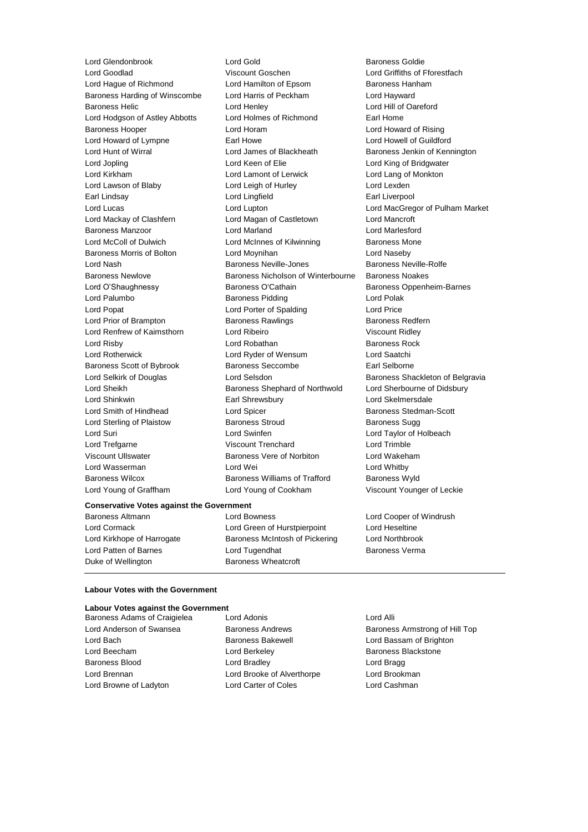Lord Glendonbrook Lord Gold Baroness Goldie

Lord Goodlad Viscount Goschen Lord Griffiths of Fforestfach Lord Hague of Richmond Lord Hamilton of Epsom Baroness Hanham Baroness Harding of Winscombe Lord Harris of Peckham Lord Hayward Baroness Helic Lord Henley Lord Hill of Oareford Lord Hodgson of Astley Abbotts Lord Holmes of Richmond Earl Home Baroness Hooper Lord Horam Lord Howard of Rising Lord Howard of Lympne **Earl Howe Earl Howe Lord Howell of Guildford** Lord Hunt of Wirral **Lord James of Blackheath** Baroness Jenkin of Kennington Lord Jopling Lord Keen of Elie Lord King of Bridgwater Lord Kirkham Lord Lamont of Lerwick Lord Lang of Monkton Lord Lawson of Blaby **Lord Leigh of Hurley** Lord Lexden Earl Lindsay Lord Lingfield Earl Liverpool Lord Lucas Lord Lupton Lord MacGregor of Pulham Market Lord Mackay of Clashfern Lord Magan of Castletown Lord Mancroft Baroness Manzoor Lord Marland Lord Marlesford Lord McColl of Dulwich Lord McInnes of Kilwinning Baroness Mone Baroness Morris of Bolton **Lord Moynihan** Lord Maseby Lord Nash Baroness Neville-Jones Baroness Neville-Rolfe Baroness Newlove Baroness Nicholson of Winterbourne Baroness Noakes Lord O'Shaughnessy **Baroness O'Cathain** Baroness Oppenheim-Barnes Lord Palumbo **Baroness Pidding Constructs** Lord Polak Lord Popat **Lord Porter of Spalding Lord Price** Lord Prior of Brampton **Baroness Rawlings** Baroness Redfern Lord Renfrew of Kaimsthorn Lord Ribeiro Viscount Ridley Lord Risby **Lord Robathan** Baroness Rock Lord Rotherwick Lord Ryder of Wensum Lord Saatchi Baroness Scott of Bybrook Baroness Seccombe Earl Selborne Lord Selkirk of Douglas **Lord Selsdon** Baroness Shackleton of Belgravia Lord Sheikh **Baroness Shephard of Northwold** Lord Sherbourne of Didsbury Lord Shinkwin Earl Shrewsbury Lord Skelmersdale Lord Smith of Hindhead Lord Spicer Lord Spicer Baroness Stedman-Scott Lord Sterling of Plaistow **Baroness Stroud** Baroness Sugg Lord Suri Lord Swinfen Lord Taylor of Holbeach Lord Trefgarne Viscount Trenchard Lord Trimble Viscount Ullswater Baroness Vere of Norbiton Lord Wakeham Lord Wasserman and Lord Wei Lord Wei Lord Whitby Baroness Wilcox **Baroness Williams of Trafford** Baroness Wyld Lord Young of Graffham Lord Young of Cookham Viscount Younger of Leckie

#### **Conservative Votes against the Government**

Duke of Wellington Baroness Wheatcroft

Baroness Altmann Lord Bowness Lord Cooper of Windrush Lord Cormack Lord Green of Hurstpierpoint Lord Heseltine Lord Kirkhope of Harrogate Baroness McIntosh of Pickering Lord Northbrook Lord Patten of Barnes **Lord Tugendhat** Baroness Verma

#### **Labour Votes with the Government**

#### **Labour Votes against the Government**

Lord Bach **Baroness Bakewell Baroness Bakewell Lord Bassam of Brighton** Lord Beecham **Lord Berkeley Baroness Blackstone** Baroness Blood **Lord Bradley** Cord Bradley **Lord Bragg** Lord Brennan Lord Brooke of Alverthorpe Lord Brookman Lord Browne of Ladyton Lord Carter of Coles Lord Cashman

Baroness Adams of Craigielea Lord Adonis Corp. Lord Alli

Lord Anderson of Swansea **Baroness Andrews** Baroness Armstrong of Hill Top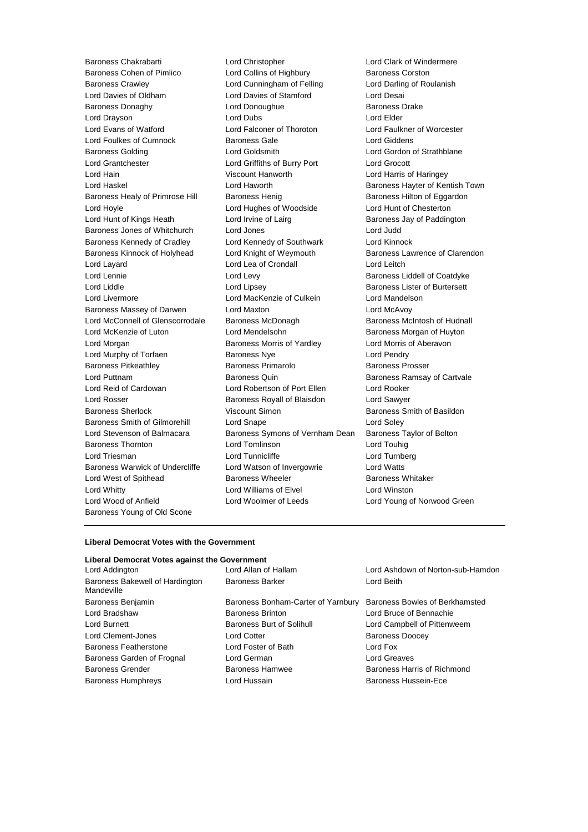Baroness Cohen of Pimlico **Lord Collins of Highbury** Baroness Corston Baroness Crawley Lord Cunningham of Felling Lord Darling of Roulanish Lord Davies of Oldham Lord Davies of Stamford Lord Desai Baroness Donaghy **Lord Donoughue** Baroness Drake Lord Drayson **Lord Dubs** Lord Dubs **Lord Elder** Lord Evans of Watford Lord Falconer of Thoroton Lord Faulkner of Worcester Lord Foulkes of Cumnock **Baroness Gale Baroness Gale** Lord Giddens Baroness Golding Lord Goldsmith Lord Gordon of Strathblane Lord Grantchester Lord Griffiths of Burry Port Lord Grocott Lord Hain Viscount Hanworth Lord Harris of Haringey Lord Haskel **Lord Haworth** Baroness Hayter of Kentish Town Baroness Healy of Primrose Hill Baroness Henig Baroness Hensen Baroness Hilton of Eggardon Lord Hoyle Lord Hughes of Woodside Lord Hunt of Chesterton Lord Hunt of Kings Heath Lord Irvine of Lairg **Baroness Jay of Paddington** Baroness Jones of Whitchurch Lord Jones Lord Judd Baroness Kennedy of Cradley Lord Kennedy of Southwark Lord Kinnock Baroness Kinnock of Holyhead Lord Knight of Weymouth Baroness Lawrence of Clarendon Lord Layard **Lord Lea of Crondall** Lord Lord Leitch Lord Lennie Lord Levy Baroness Liddell of Coatdyke Lord Liddle Lord Lipsey Baroness Lister of Burtersett Lord Livermore Lord MacKenzie of Culkein Lord Mandelson Baroness Massey of Darwen Lord Maxton Lord McAvoy Lord McConnell of Glenscorrodale Baroness McDonagh Baroness McNoress McIntosh of Hudnall Lord McKenzie of Luton Lord Mendelsohn Baroness Morgan of Huyton Lord Morgan **Baroness Morris of Yardley** Lord Morris of Aberavon Lord Murphy of Torfaen Baroness Nye Lord Pendry Baroness Pitkeathley **Baroness Primarolo** Baroness Prosser Lord Puttnam **Baroness Quin** Baroness Quin Baroness Ramsay of Cartvale Lord Reid of Cardowan Lord Robertson of Port Ellen Lord Rooker Lord Rosser Baroness Royall of Blaisdon Lord Sawyer Baroness Sherlock **Viscount Simon** Baroness Smith of Basildon Baroness Smith of Gilmorehill Lord Snape Lord Soley Lord Stevenson of Balmacara Baroness Symons of Vernham Dean Baroness Taylor of Bolton Baroness Thornton Lord Tomlinson Lord Touhig Lord Triesman Lord Tunnicliffe Lord Turnberg Baroness Warwick of Undercliffe Lord Watson of Invergowrie Lord Watts Lord West of Spithead **Baroness Wheeler** Baroness Wheeler **Baroness Whitaker** Lord Whitty Lord Williams of Elvel Lord Winston Lord Wood of Anfield Lord Woolmer of Leeds Lord Young of Norwood Green Baroness Young of Old Scone

Baroness Chakrabarti Lord Christopher Lord Clark of Windermere

#### **Liberal Democrat Votes with the Government**

#### **Liberal Democrat Votes against the Government**

| Lord Addington                                | Lord Allan of Hallam               | Lord Ashdown of Norton-sub-Hamdon |  |
|-----------------------------------------------|------------------------------------|-----------------------------------|--|
| Baroness Bakewell of Hardington<br>Mandeville | <b>Baroness Barker</b>             | Lord Beith                        |  |
| Baroness Benjamin                             | Baroness Bonham-Carter of Yarnbury | Baroness Bowles of Berkhamsted    |  |
| Lord Bradshaw                                 | <b>Baroness Brinton</b>            | Lord Bruce of Bennachie           |  |
| Lord Burnett                                  | Baroness Burt of Solihull          | Lord Campbell of Pittenweem       |  |
| Lord Clement-Jones                            | <b>Lord Cotter</b>                 | <b>Baroness Doocey</b>            |  |
| <b>Baroness Featherstone</b>                  | Lord Foster of Bath                | Lord Fox                          |  |
| Baroness Garden of Frognal                    | Lord German                        | Lord Greaves                      |  |
| Baroness Grender                              | Baroness Hamwee                    | Baroness Harris of Richmond       |  |
| <b>Baroness Humphreys</b>                     | Lord Hussain                       | <b>Baroness Hussein-Ece</b>       |  |
|                                               |                                    |                                   |  |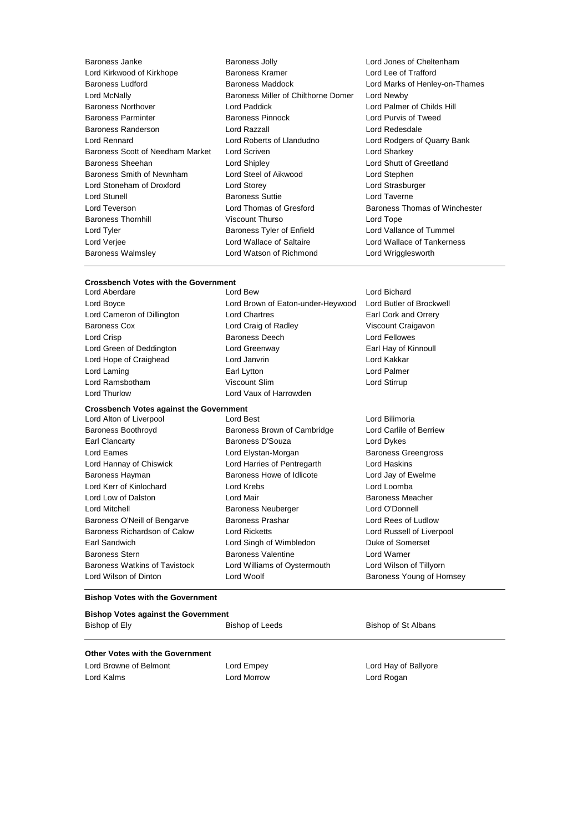| Baroness Janke                   | Baror             |
|----------------------------------|-------------------|
| Lord Kirkwood of Kirkhope        | Baror             |
| <b>Baroness Ludford</b>          | Baror             |
| Lord McNally                     | Baror             |
| <b>Baroness Northover</b>        | Lord I            |
| <b>Baroness Parminter</b>        | Baror             |
| Baroness Randerson               | Lord I            |
| Lord Rennard                     | Lord I            |
| Baroness Scott of Needham Market | Lord \$           |
| Baroness Sheehan                 | Lord \$           |
| Baroness Smith of Newnham        | Lord \$           |
| Lord Stoneham of Droxford        | Lord \$           |
| <b>Lord Stunell</b>              | Baror             |
| Lord Teverson                    | Lord <sup>-</sup> |
| <b>Baroness Thornhill</b>        | Visco             |
| Lord Tyler                       | Baror             |
| Lord Verjee                      | Lord \            |
| <b>Baroness Walmsley</b>         | Lord \            |

- ess Jolly Lord Jones of Cheltenham<br>hess Kramer Lord Lee of Trafford less Miller of Chilthorne Domer Lord Newby Baroness Northover Lord Paddick Lord Palmer of Childs Hill **Baroness Razzall** Lord Redesdale Scriven **Needham Market Lord Sharkey** Shipley **Communist Construction Construction** Lord Shutt of Greetland Steel of Aikwood Lord Stephen Storey **Common Common Contrast Contrast Common Contrast Contrast Common Common Common Common Common Common Common Common Common Common Common Common Common Common Common Common Common Common Common Common Common Common Com** ness Suttie Lord Taverne art Thurso **Thurso Lord Tope** ness Tyler of Enfield Lord Vallance of Tummel Wallace of Saltaire **Lord Wallace of Tankerness** Watson of Richmond Lord Wrigglesworth
	- Lord Lee of Trafford ness Maddock **Lord Marks of Henley-on-Thames Lord Purvis of Tweed** Roberts of Llandudno **Lord Rodgers of Quarry Bank** Thomas of Gresford Baroness Thomas of Winchester

## **Crossbench Votes with the Government**

Lord Aberdare Lord Bew Lord Bichard Lord Boyce Lord Brown of Eaton-under-Heywood Lord Butler of Brockwell Lord Cameron of Dillington Lord Chartres **Earl Cork and Orrery** Cork and Orrery Baroness Cox Lord Craig of Radley Viscount Craigavon Lord Crisp **Baroness Deech** Lord Fellowes Lord Green of Deddington Lord Greenway Earl Hay of Kinnoull Lord Hope of Craighead Lord Janvrin Lord Kakkar Lord Laming **Earl Lytton** Earl Lytton **Lord Palmer** Lord Ramsbotham Viscount Slim Lord Stirrup

#### **Crossbench Votes against the Government**

Lord Alton of Liverpool Lord Best Lord Bilimoria Baroness Boothroyd Baroness Brown of Cambridge Lord Carlile of Berriew Earl Clancarty **Baroness D'Souza** Lord Dykes Lord Eames Lord Elystan-Morgan Baroness Greengross Lord Hannay of Chiswick Lord Harries of Pentregarth Lord Haskins Baroness Hayman Baroness Howe of Idlicote Lord Jay of Ewelme Lord Kerr of Kinlochard Lord Krebs Lord Loomba Lord Low of Dalston **Lord Mair Lord Mair Baroness Meacher Baroness Meacher** Lord Mitchell Baroness Neuberger Lord O'Donnell Baroness O'Neill of Bengarve **Baroness Prashar Baroness Prashar** Lord Rees of Ludlow Baroness Richardson of Calow Lord Ricketts Lord Russell of Liverpool Earl Sandwich Lord Singh of Wimbledon Duke of Somerset Baroness Stern **Baroness Valentine** Lord Warner Baroness Watkins of Tavistock Lord Williams of Oystermouth Lord Wilson of Tillyorn

Lord Thurlow Lord Vaux of Harrowden

Lord Wilson of Dinton **Lord Woolf Conserversity** Baroness Young of Hornsey

#### **Bishop Votes with the Government**

#### **Bishop Votes against the Government**

Bishop of Ely **Bishop of Leeds** Bishop of St Albans

#### **Other Votes with the Government**

Lord Browne of Belmont Lord Empey Lord Empey Lord Hay of Ballyore Lord Kalms Lord Morrow Lord Rogan